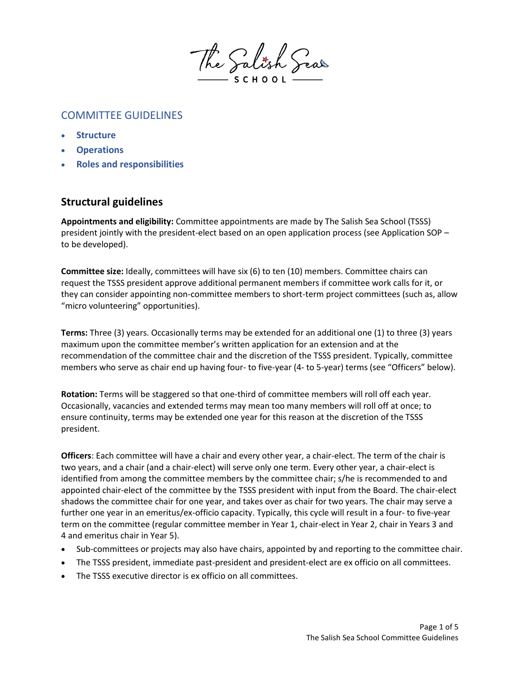

# COMMITTEE GUIDELINES

- **Structure**
- **Operations**
- **Roles and responsibilities**

## **Structural guidelines**

**Appointments and eligibility:** Committee appointments are made by The Salish Sea School (TSSS) president jointly with the president-elect based on an open application process (see Application SOP – to be developed).

**Committee size:** Ideally, committees will have six (6) to ten (10) members. Committee chairs can request the TSSS president approve additional permanent members if committee work calls for it, or they can consider appointing non-committee members to short-term project committees (such as, allow "micro volunteering" opportunities).

**Terms:** Three (3) years. Occasionally terms may be extended for an additional one (1) to three (3) years maximum upon the committee member's written application for an extension and at the recommendation of the committee chair and the discretion of the TSSS president. Typically, committee members who serve as chair end up having four- to five-year (4- to 5-year) terms (see "Officers" below).

**Rotation:** Terms will be staggered so that one-third of committee members will roll off each year. Occasionally, vacancies and extended terms may mean too many members will roll off at once; to ensure continuity, terms may be extended one year for this reason at the discretion of the TSSS president.

**Officers**: Each committee will have a chair and every other year, a chair-elect. The term of the chair is two years, and a chair (and a chair-elect) will serve only one term. Every other year, a chair-elect is identified from among the committee members by the committee chair; s/he is recommended to and appointed chair-elect of the committee by the TSSS president with input from the Board. The chair-elect shadows the committee chair for one year, and takes over as chair for two years. The chair may serve a further one year in an emeritus/ex-officio capacity. Typically, this cycle will result in a four- to five-year term on the committee (regular committee member in Year 1, chair-elect in Year 2, chair in Years 3 and 4 and emeritus chair in Year 5).

- Sub-committees or projects may also have chairs, appointed by and reporting to the committee chair.
- The TSSS president, immediate past-president and president-elect are ex officio on all committees.
- The TSSS executive director is ex officio on all committees.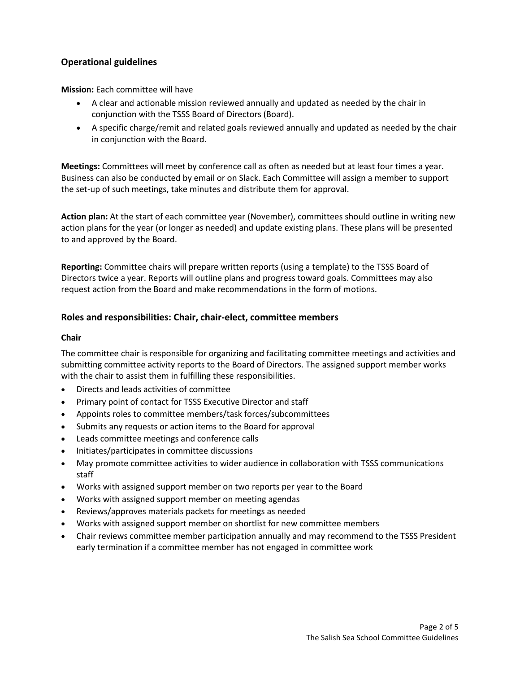## **Operational guidelines**

**Mission:** Each committee will have

- A clear and actionable mission reviewed annually and updated as needed by the chair in conjunction with the TSSS Board of Directors (Board).
- A specific charge/remit and related goals reviewed annually and updated as needed by the chair in conjunction with the Board.

**Meetings:** Committees will meet by conference call as often as needed but at least four times a year. Business can also be conducted by email or on Slack. Each Committee will assign a member to support the set-up of such meetings, take minutes and distribute them for approval.

**Action plan:** At the start of each committee year (November), committees should outline in writing new action plans for the year (or longer as needed) and update existing plans. These plans will be presented to and approved by the Board.

**Reporting:** Committee chairs will prepare written reports (using a template) to the TSSS Board of Directors twice a year. Reports will outline plans and progress toward goals. Committees may also request action from the Board and make recommendations in the form of motions.

## **Roles and responsibilities: Chair, chair-elect, committee members**

#### **Chair**

The committee chair is responsible for organizing and facilitating committee meetings and activities and submitting committee activity reports to the Board of Directors. The assigned support member works with the chair to assist them in fulfilling these responsibilities.

- Directs and leads activities of committee
- Primary point of contact for TSSS Executive Director and staff
- Appoints roles to committee members/task forces/subcommittees
- Submits any requests or action items to the Board for approval
- Leads committee meetings and conference calls
- Initiates/participates in committee discussions
- May promote committee activities to wider audience in collaboration with TSSS communications staff
- Works with assigned support member on two reports per year to the Board
- Works with assigned support member on meeting agendas
- Reviews/approves materials packets for meetings as needed
- Works with assigned support member on shortlist for new committee members
- Chair reviews committee member participation annually and may recommend to the TSSS President early termination if a committee member has not engaged in committee work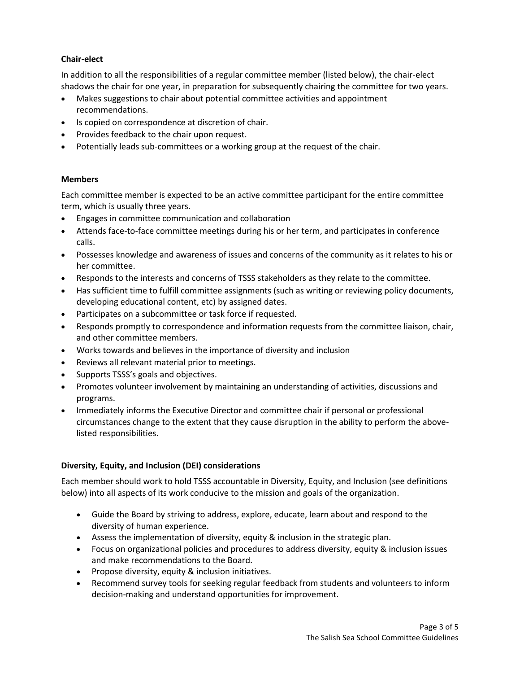### **Chair-elect**

In addition to all the responsibilities of a regular committee member (listed below), the chair-elect shadows the chair for one year, in preparation for subsequently chairing the committee for two years.

- Makes suggestions to chair about potential committee activities and appointment recommendations.
- Is copied on correspondence at discretion of chair.
- Provides feedback to the chair upon request.
- Potentially leads sub-committees or a working group at the request of the chair.

#### **Members**

Each committee member is expected to be an active committee participant for the entire committee term, which is usually three years.

- Engages in committee communication and collaboration
- Attends face-to-face committee meetings during his or her term, and participates in conference calls.
- Possesses knowledge and awareness of issues and concerns of the community as it relates to his or her committee.
- Responds to the interests and concerns of TSSS stakeholders as they relate to the committee.
- Has sufficient time to fulfill committee assignments (such as writing or reviewing policy documents, developing educational content, etc) by assigned dates.
- Participates on a subcommittee or task force if requested.
- Responds promptly to correspondence and information requests from the committee liaison, chair, and other committee members.
- Works towards and believes in the importance of diversity and inclusion
- Reviews all relevant material prior to meetings.
- Supports TSSS's goals and objectives.
- Promotes volunteer involvement by maintaining an understanding of activities, discussions and programs.
- Immediately informs the Executive Director and committee chair if personal or professional circumstances change to the extent that they cause disruption in the ability to perform the abovelisted responsibilities.

## **Diversity, Equity, and Inclusion (DEI) considerations**

Each member should work to hold TSSS accountable in Diversity, Equity, and Inclusion (see definitions below) into all aspects of its work conducive to the mission and goals of the organization.

- Guide the Board by striving to address, explore, educate, learn about and respond to the diversity of human experience.
- Assess the implementation of diversity, equity & inclusion in the strategic plan.
- Focus on organizational policies and procedures to address diversity, equity & inclusion issues and make recommendations to the Board.
- Propose diversity, equity & inclusion initiatives.
- Recommend survey tools for seeking regular feedback from students and volunteers to inform decision-making and understand opportunities for improvement.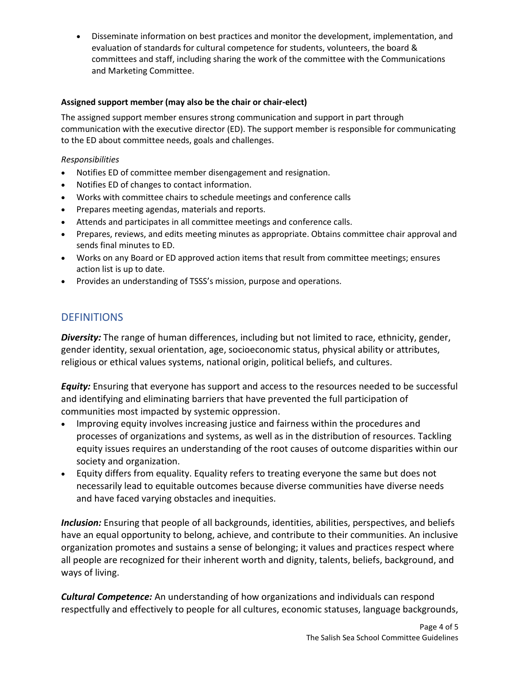• Disseminate information on best practices and monitor the development, implementation, and evaluation of standards for cultural competence for students, volunteers, the board & committees and staff, including sharing the work of the committee with the Communications and Marketing Committee.

## **Assigned support member (may also be the chair or chair-elect)**

The assigned support member ensures strong communication and support in part through communication with the executive director (ED). The support member is responsible for communicating to the ED about committee needs, goals and challenges.

## *Responsibilities*

- Notifies ED of committee member disengagement and resignation.
- Notifies ED of changes to contact information.
- Works with committee chairs to schedule meetings and conference calls
- Prepares meeting agendas, materials and reports.
- Attends and participates in all committee meetings and conference calls.
- Prepares, reviews, and edits meeting minutes as appropriate. Obtains committee chair approval and sends final minutes to ED.
- Works on any Board or ED approved action items that result from committee meetings; ensures action list is up to date.
- Provides an understanding of TSSS's mission, purpose and operations.

## **DEFINITIONS**

*Diversity:* The range of human differences, including but not limited to race, ethnicity, gender, gender identity, sexual orientation, age, socioeconomic status, physical ability or attributes, religious or ethical values systems, national origin, political beliefs, and cultures.

*Equity:* Ensuring that everyone has support and access to the resources needed to be successful and identifying and eliminating barriers that have prevented the full participation of communities most impacted by systemic oppression.

- Improving equity involves increasing justice and fairness within the procedures and processes of organizations and systems, as well as in the distribution of resources. Tackling equity issues requires an understanding of the root causes of outcome disparities within our society and organization.
- Equity differs from equality. Equality refers to treating everyone the same but does not necessarily lead to equitable outcomes because diverse communities have diverse needs and have faced varying obstacles and inequities.

*Inclusion:* Ensuring that people of all backgrounds, identities, abilities, perspectives, and beliefs have an equal opportunity to belong, achieve, and contribute to their communities. An inclusive organization promotes and sustains a sense of belonging; it values and practices respect where all people are recognized for their inherent worth and dignity, talents, beliefs, background, and ways of living.

*Cultural Competence:* An understanding of how organizations and individuals can respond respectfully and effectively to people for all cultures, economic statuses, language backgrounds,